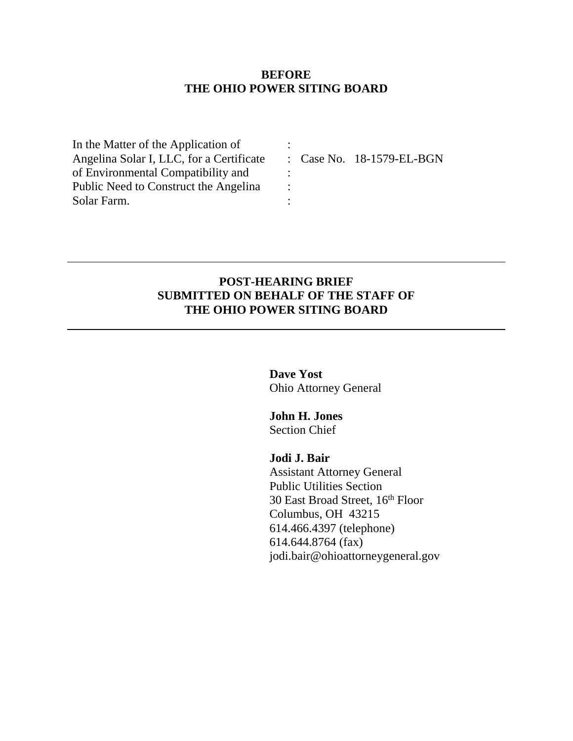### **BEFORE THE OHIO POWER SITING BOARD**

:

: : :

In the Matter of the Application of Angelina Solar I, LLC, for a Certificate of Environmental Compatibility and Public Need to Construct the Angelina Solar Farm.

: Case No. 18-1579-EL-BGN

### **POST-HEARING BRIEF SUBMITTED ON BEHALF OF THE STAFF OF THE OHIO POWER SITING BOARD**

**Dave Yost** Ohio Attorney General

**John H. Jones** Section Chief

**Jodi J. Bair**

Assistant Attorney General Public Utilities Section 30 East Broad Street, 16 th Floor Columbus, OH 43215 614.466.4397 (telephone) 614.644.8764 (fax) [jodi.bair@ohioattorneygeneral.gov](mailto:jodi.bair@ohioattorneygeneral.gov)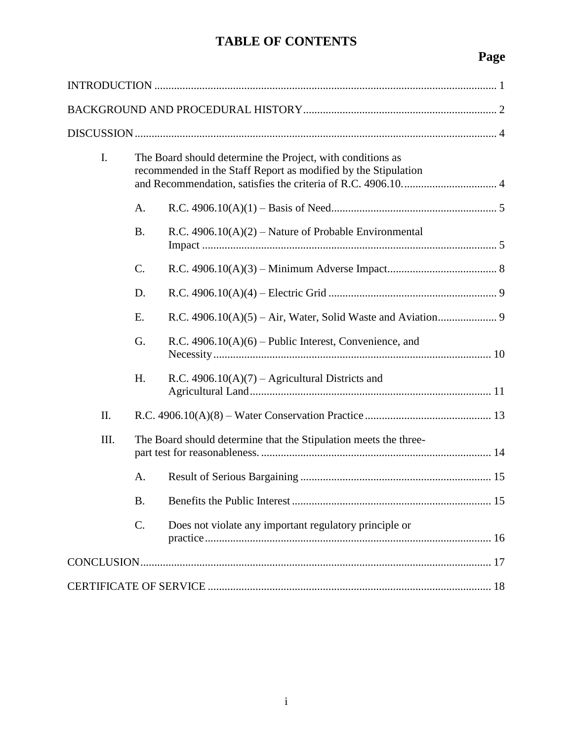# **TABLE OF CONTENTS**

# **Page**

| I.   | The Board should determine the Project, with conditions as<br>recommended in the Staff Report as modified by the Stipulation |                                                                  |  |
|------|------------------------------------------------------------------------------------------------------------------------------|------------------------------------------------------------------|--|
|      | Α.                                                                                                                           |                                                                  |  |
|      | <b>B.</b>                                                                                                                    | R.C. $4906.10(A)(2)$ – Nature of Probable Environmental          |  |
|      | C.                                                                                                                           |                                                                  |  |
|      | D.                                                                                                                           |                                                                  |  |
|      | E.                                                                                                                           |                                                                  |  |
|      | G.                                                                                                                           | R.C. $4906.10(A)(6)$ – Public Interest, Convenience, and         |  |
|      | H.                                                                                                                           | R.C. $4906.10(A)(7)$ – Agricultural Districts and                |  |
| II.  |                                                                                                                              |                                                                  |  |
| III. |                                                                                                                              | The Board should determine that the Stipulation meets the three- |  |
|      | A.                                                                                                                           |                                                                  |  |
|      | В.                                                                                                                           |                                                                  |  |
|      | $\mathcal{C}$ .                                                                                                              | Does not violate any important regulatory principle or           |  |
|      |                                                                                                                              |                                                                  |  |
|      |                                                                                                                              |                                                                  |  |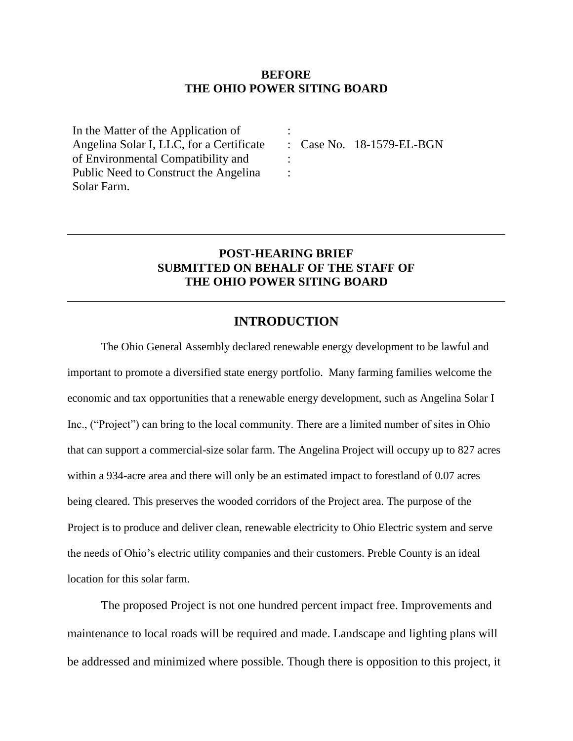#### **BEFORE THE OHIO POWER SITING BOARD**

:

: :

In the Matter of the Application of Angelina Solar I, LLC, for a Certificate of Environmental Compatibility and Public Need to Construct the Angelina Solar Farm.

: Case No. 18-1579-EL-BGN

### **POST-HEARING BRIEF SUBMITTED ON BEHALF OF THE STAFF OF THE OHIO POWER SITING BOARD**

### **INTRODUCTION**

<span id="page-2-0"></span>The Ohio General Assembly declared renewable energy development to be lawful and important to promote a diversified state energy portfolio. Many farming families welcome the economic and tax opportunities that a renewable energy development, such as Angelina Solar I Inc., ("Project") can bring to the local community. There are a limited number of sites in Ohio that can support a commercial-size solar farm. The Angelina Project will occupy up to 827 acres within a 934-acre area and there will only be an estimated impact to forestland of 0.07 acres being cleared. This preserves the wooded corridors of the Project area. The purpose of the Project is to produce and deliver clean, renewable electricity to Ohio Electric system and serve the needs of Ohio's electric utility companies and their customers. Preble County is an ideal location for this solar farm.

The proposed Project is not one hundred percent impact free. Improvements and maintenance to local roads will be required and made. Landscape and lighting plans will be addressed and minimized where possible. Though there is opposition to this project, it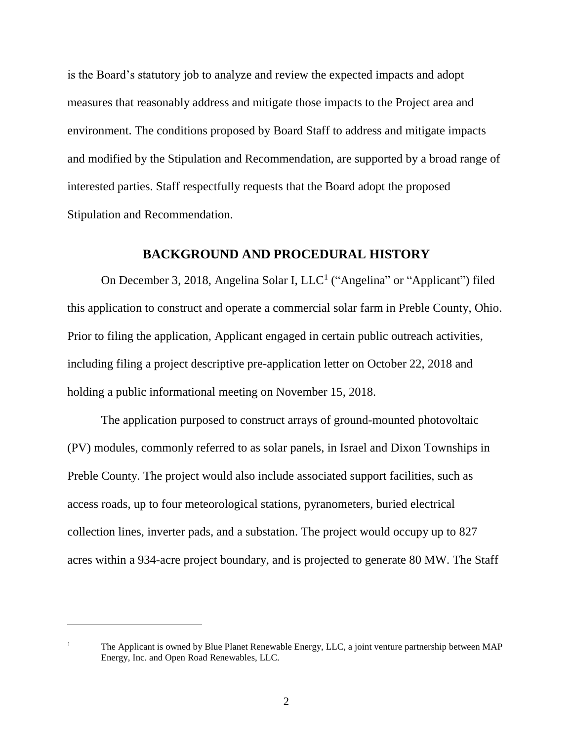is the Board's statutory job to analyze and review the expected impacts and adopt measures that reasonably address and mitigate those impacts to the Project area and environment. The conditions proposed by Board Staff to address and mitigate impacts and modified by the Stipulation and Recommendation, are supported by a broad range of interested parties. Staff respectfully requests that the Board adopt the proposed Stipulation and Recommendation.

### **BACKGROUND AND PROCEDURAL HISTORY**

<span id="page-3-0"></span>On December 3, 2018, Angelina Solar I, LLC<sup>1</sup> ("Angelina" or "Applicant") filed this application to construct and operate a commercial solar farm in Preble County, Ohio. Prior to filing the application, Applicant engaged in certain public outreach activities, including filing a project descriptive pre-application letter on October 22, 2018 and holding a public informational meeting on November 15, 2018.

The application purposed to construct arrays of ground-mounted photovoltaic (PV) modules, commonly referred to as solar panels, in Israel and Dixon Townships in Preble County. The project would also include associated support facilities, such as access roads, up to four meteorological stations, pyranometers, buried electrical collection lines, inverter pads, and a substation. The project would occupy up to 827 acres within a 934-acre project boundary, and is projected to generate 80 MW. The Staff

<sup>&</sup>lt;sup>1</sup> The Applicant is owned by Blue Planet Renewable Energy, LLC, a joint venture partnership between MAP Energy, Inc. and Open Road Renewables, LLC.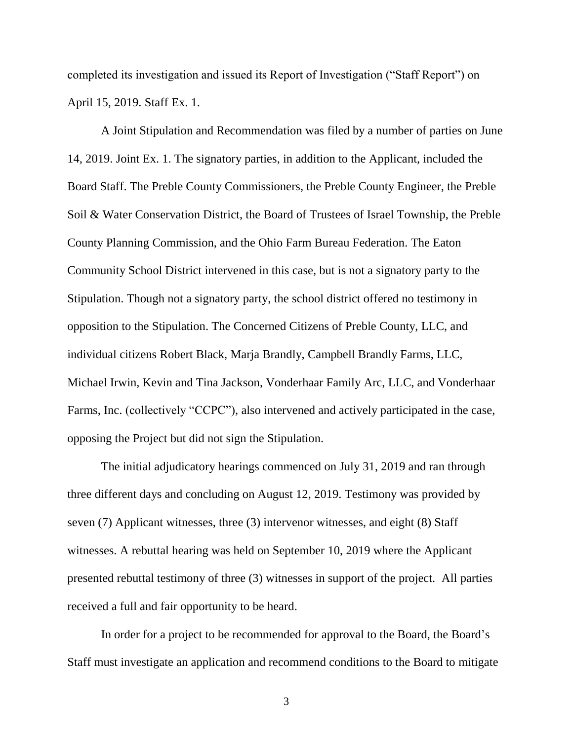completed its investigation and issued its Report of Investigation ("Staff Report") on April 15, 2019. Staff Ex. 1.

A Joint Stipulation and Recommendation was filed by a number of parties on June 14, 2019. Joint Ex. 1. The signatory parties, in addition to the Applicant, included the Board Staff. The Preble County Commissioners, the Preble County Engineer, the Preble Soil & Water Conservation District, the Board of Trustees of Israel Township, the Preble County Planning Commission, and the Ohio Farm Bureau Federation. The Eaton Community School District intervened in this case, but is not a signatory party to the Stipulation. Though not a signatory party, the school district offered no testimony in opposition to the Stipulation. The Concerned Citizens of Preble County, LLC, and individual citizens Robert Black, Marja Brandly, Campbell Brandly Farms, LLC, Michael Irwin, Kevin and Tina Jackson, Vonderhaar Family Arc, LLC, and Vonderhaar Farms, Inc. (collectively "CCPC"), also intervened and actively participated in the case, opposing the Project but did not sign the Stipulation.

The initial adjudicatory hearings commenced on July 31, 2019 and ran through three different days and concluding on August 12, 2019. Testimony was provided by seven (7) Applicant witnesses, three (3) intervenor witnesses, and eight (8) Staff witnesses. A rebuttal hearing was held on September 10, 2019 where the Applicant presented rebuttal testimony of three (3) witnesses in support of the project. All parties received a full and fair opportunity to be heard.

In order for a project to be recommended for approval to the Board, the Board's Staff must investigate an application and recommend conditions to the Board to mitigate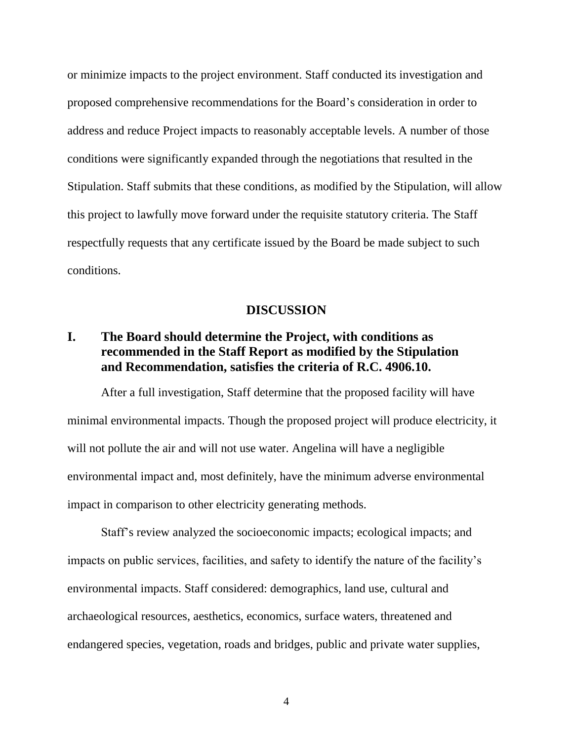or minimize impacts to the project environment. Staff conducted its investigation and proposed comprehensive recommendations for the Board's consideration in order to address and reduce Project impacts to reasonably acceptable levels. A number of those conditions were significantly expanded through the negotiations that resulted in the Stipulation. Staff submits that these conditions, as modified by the Stipulation, will allow this project to lawfully move forward under the requisite statutory criteria. The Staff respectfully requests that any certificate issued by the Board be made subject to such conditions.

### **DISCUSSION**

# <span id="page-5-1"></span><span id="page-5-0"></span>**I. The Board should determine the Project, with conditions as recommended in the Staff Report as modified by the Stipulation and Recommendation, satisfies the criteria of R.C. 4906.10.**

After a full investigation, Staff determine that the proposed facility will have minimal environmental impacts. Though the proposed project will produce electricity, it will not pollute the air and will not use water. Angelina will have a negligible environmental impact and, most definitely, have the minimum adverse environmental impact in comparison to other electricity generating methods.

Staff's review analyzed the socioeconomic impacts; ecological impacts; and impacts on public services, facilities, and safety to identify the nature of the facility's environmental impacts. Staff considered: demographics, land use, cultural and archaeological resources, aesthetics, economics, surface waters, threatened and endangered species, vegetation, roads and bridges, public and private water supplies,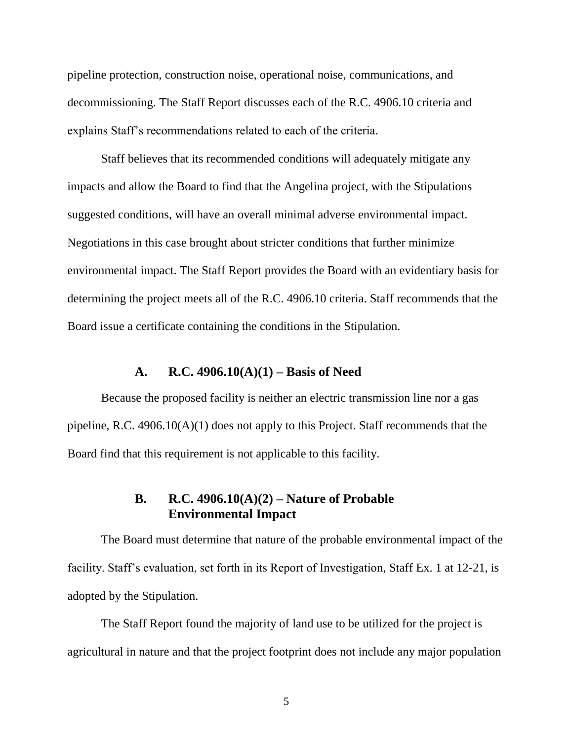pipeline protection, construction noise, operational noise, communications, and decommissioning. The Staff Report discusses each of the R.C. 4906.10 criteria and explains Staff's recommendations related to each of the criteria.

Staff believes that its recommended conditions will adequately mitigate any impacts and allow the Board to find that the Angelina project, with the Stipulations suggested conditions, will have an overall minimal adverse environmental impact. Negotiations in this case brought about stricter conditions that further minimize environmental impact. The Staff Report provides the Board with an evidentiary basis for determining the project meets all of the R.C. 4906.10 criteria. Staff recommends that the Board issue a certificate containing the conditions in the Stipulation.

#### **A. R.C. 4906.10(A)(1) – Basis of Need**

<span id="page-6-0"></span>Because the proposed facility is neither an electric transmission line nor a gas pipeline, R.C. 4906.10(A)(1) does not apply to this Project. Staff recommends that the Board find that this requirement is not applicable to this facility.

# **B. R.C. 4906.10(A)(2) – Nature of Probable Environmental Impact**

<span id="page-6-1"></span>The Board must determine that nature of the probable environmental impact of the facility. Staff's evaluation, set forth in its Report of Investigation, Staff Ex. 1 at 12-21, is adopted by the Stipulation.

The Staff Report found the majority of land use to be utilized for the project is agricultural in nature and that the project footprint does not include any major population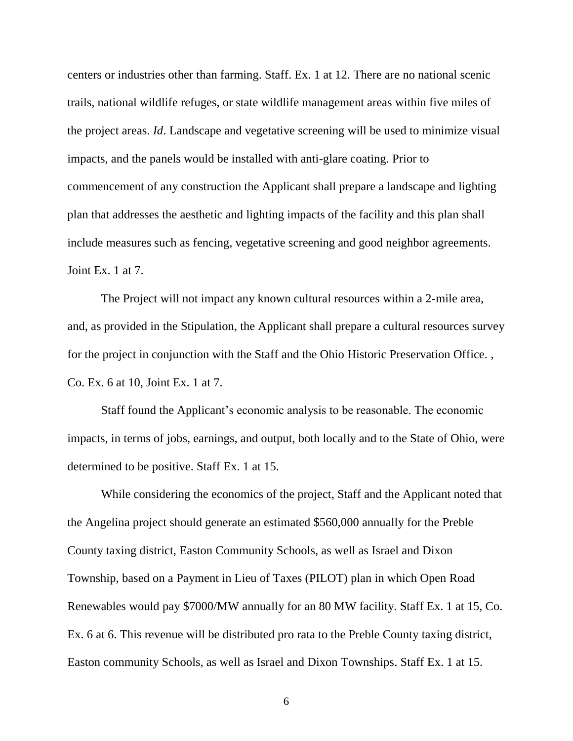centers or industries other than farming. Staff. Ex. 1 at 12. There are no national scenic trails, national wildlife refuges, or state wildlife management areas within five miles of the project areas. *Id*. Landscape and vegetative screening will be used to minimize visual impacts, and the panels would be installed with anti-glare coating. Prior to commencement of any construction the Applicant shall prepare a landscape and lighting plan that addresses the aesthetic and lighting impacts of the facility and this plan shall include measures such as fencing, vegetative screening and good neighbor agreements. Joint Ex. 1 at 7.

The Project will not impact any known cultural resources within a 2-mile area, and, as provided in the Stipulation, the Applicant shall prepare a cultural resources survey for the project in conjunction with the Staff and the Ohio Historic Preservation Office. , Co. Ex. 6 at 10, Joint Ex. 1 at 7.

Staff found the Applicant's economic analysis to be reasonable. The economic impacts, in terms of jobs, earnings, and output, both locally and to the State of Ohio, were determined to be positive. Staff Ex. 1 at 15.

While considering the economics of the project, Staff and the Applicant noted that the Angelina project should generate an estimated \$560,000 annually for the Preble County taxing district, Easton Community Schools, as well as Israel and Dixon Township, based on a Payment in Lieu of Taxes (PILOT) plan in which Open Road Renewables would pay \$7000/MW annually for an 80 MW facility. Staff Ex. 1 at 15, Co. Ex. 6 at 6. This revenue will be distributed pro rata to the Preble County taxing district, Easton community Schools, as well as Israel and Dixon Townships. Staff Ex. 1 at 15.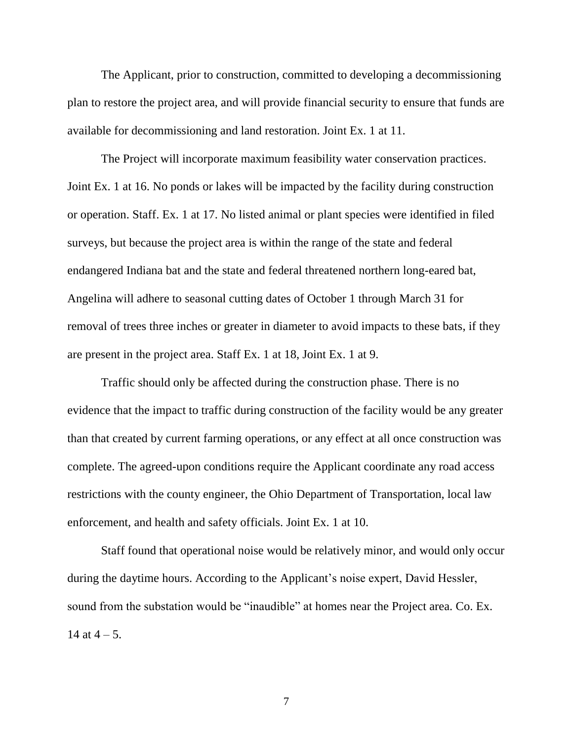The Applicant, prior to construction, committed to developing a decommissioning plan to restore the project area, and will provide financial security to ensure that funds are available for decommissioning and land restoration. Joint Ex. 1 at 11.

The Project will incorporate maximum feasibility water conservation practices. Joint Ex. 1 at 16. No ponds or lakes will be impacted by the facility during construction or operation. Staff. Ex. 1 at 17. No listed animal or plant species were identified in filed surveys, but because the project area is within the range of the state and federal endangered Indiana bat and the state and federal threatened northern long-eared bat, Angelina will adhere to seasonal cutting dates of October 1 through March 31 for removal of trees three inches or greater in diameter to avoid impacts to these bats, if they are present in the project area. Staff Ex. 1 at 18, Joint Ex. 1 at 9.

Traffic should only be affected during the construction phase. There is no evidence that the impact to traffic during construction of the facility would be any greater than that created by current farming operations, or any effect at all once construction was complete. The agreed-upon conditions require the Applicant coordinate any road access restrictions with the county engineer, the Ohio Department of Transportation, local law enforcement, and health and safety officials. Joint Ex. 1 at 10.

Staff found that operational noise would be relatively minor, and would only occur during the daytime hours. According to the Applicant's noise expert, David Hessler, sound from the substation would be "inaudible" at homes near the Project area. Co. Ex. 14 at  $4 - 5$ .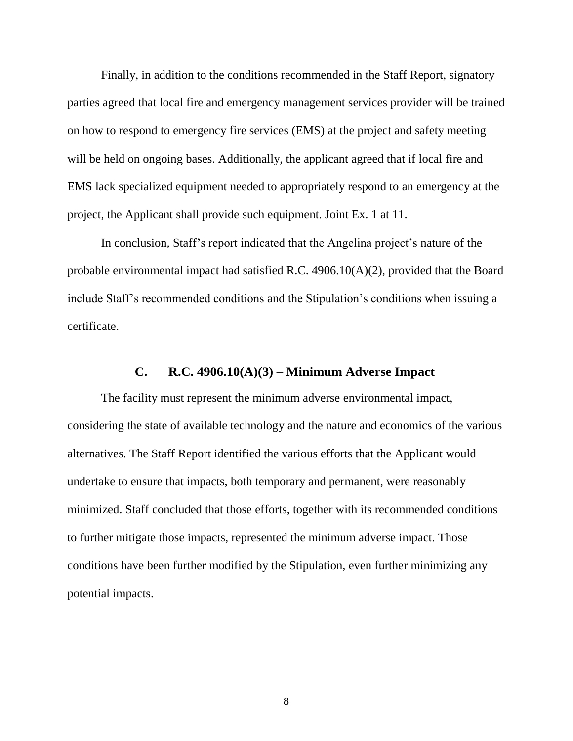Finally, in addition to the conditions recommended in the Staff Report, signatory parties agreed that local fire and emergency management services provider will be trained on how to respond to emergency fire services (EMS) at the project and safety meeting will be held on ongoing bases. Additionally, the applicant agreed that if local fire and EMS lack specialized equipment needed to appropriately respond to an emergency at the project, the Applicant shall provide such equipment. Joint Ex. 1 at 11.

In conclusion, Staff's report indicated that the Angelina project's nature of the probable environmental impact had satisfied R.C. 4906.10(A)(2), provided that the Board include Staff's recommended conditions and the Stipulation's conditions when issuing a certificate.

### **C. R.C. 4906.10(A)(3) – Minimum Adverse Impact**

<span id="page-9-0"></span>The facility must represent the minimum adverse environmental impact, considering the state of available technology and the nature and economics of the various alternatives. The Staff Report identified the various efforts that the Applicant would undertake to ensure that impacts, both temporary and permanent, were reasonably minimized. Staff concluded that those efforts, together with its recommended conditions to further mitigate those impacts, represented the minimum adverse impact. Those conditions have been further modified by the Stipulation, even further minimizing any potential impacts.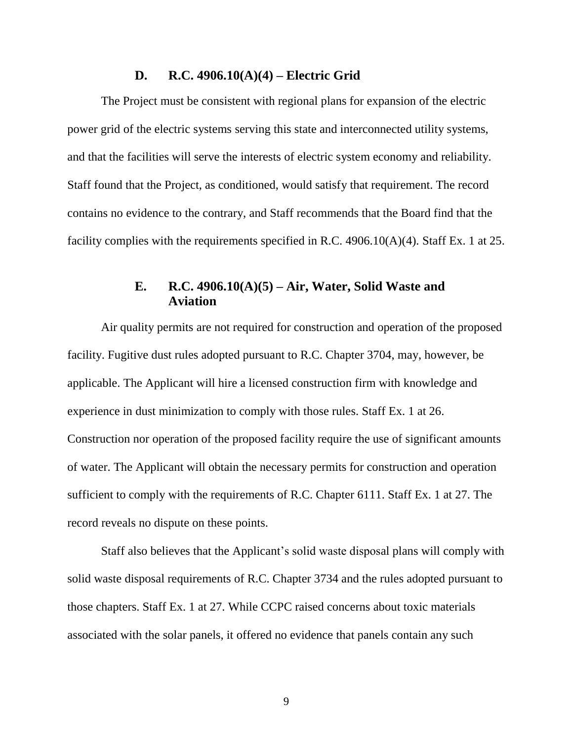#### **D. R.C. 4906.10(A)(4) – Electric Grid**

<span id="page-10-0"></span>The Project must be consistent with regional plans for expansion of the electric power grid of the electric systems serving this state and interconnected utility systems, and that the facilities will serve the interests of electric system economy and reliability. Staff found that the Project, as conditioned, would satisfy that requirement. The record contains no evidence to the contrary, and Staff recommends that the Board find that the facility complies with the requirements specified in R.C. 4906.10(A)(4). Staff Ex. 1 at 25.

## **E. R.C. 4906.10(A)(5) – Air, Water, Solid Waste and Aviation**

<span id="page-10-1"></span>Air quality permits are not required for construction and operation of the proposed facility. Fugitive dust rules adopted pursuant to R.C. Chapter 3704, may, however, be applicable. The Applicant will hire a licensed construction firm with knowledge and experience in dust minimization to comply with those rules. Staff Ex. 1 at 26. Construction nor operation of the proposed facility require the use of significant amounts of water. The Applicant will obtain the necessary permits for construction and operation sufficient to comply with the requirements of R.C. Chapter 6111. Staff Ex. 1 at 27. The record reveals no dispute on these points.

Staff also believes that the Applicant's solid waste disposal plans will comply with solid waste disposal requirements of R.C. Chapter 3734 and the rules adopted pursuant to those chapters. Staff Ex. 1 at 27. While CCPC raised concerns about toxic materials associated with the solar panels, it offered no evidence that panels contain any such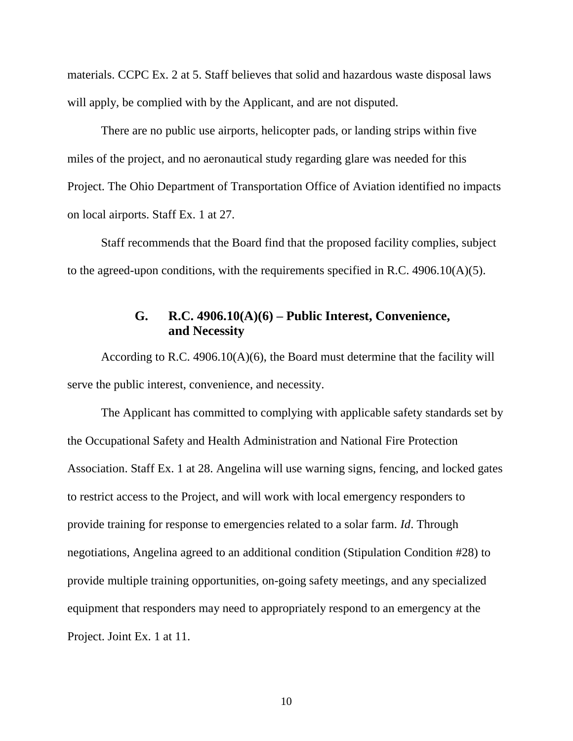materials. CCPC Ex. 2 at 5. Staff believes that solid and hazardous waste disposal laws will apply, be complied with by the Applicant, and are not disputed.

There are no public use airports, helicopter pads, or landing strips within five miles of the project, and no aeronautical study regarding glare was needed for this Project. The Ohio Department of Transportation Office of Aviation identified no impacts on local airports. Staff Ex. 1 at 27.

<span id="page-11-0"></span>Staff recommends that the Board find that the proposed facility complies, subject to the agreed-upon conditions, with the requirements specified in R.C.  $4906.10(A)(5)$ .

# **G. R.C. 4906.10(A)(6) – Public Interest, Convenience, and Necessity**

According to R.C. 4906.10(A)(6), the Board must determine that the facility will serve the public interest, convenience, and necessity.

The Applicant has committed to complying with applicable safety standards set by the Occupational Safety and Health Administration and National Fire Protection Association. Staff Ex. 1 at 28. Angelina will use warning signs, fencing, and locked gates to restrict access to the Project, and will work with local emergency responders to provide training for response to emergencies related to a solar farm. *Id*. Through negotiations, Angelina agreed to an additional condition (Stipulation Condition #28) to provide multiple training opportunities, on-going safety meetings, and any specialized equipment that responders may need to appropriately respond to an emergency at the Project. Joint Ex. 1 at 11.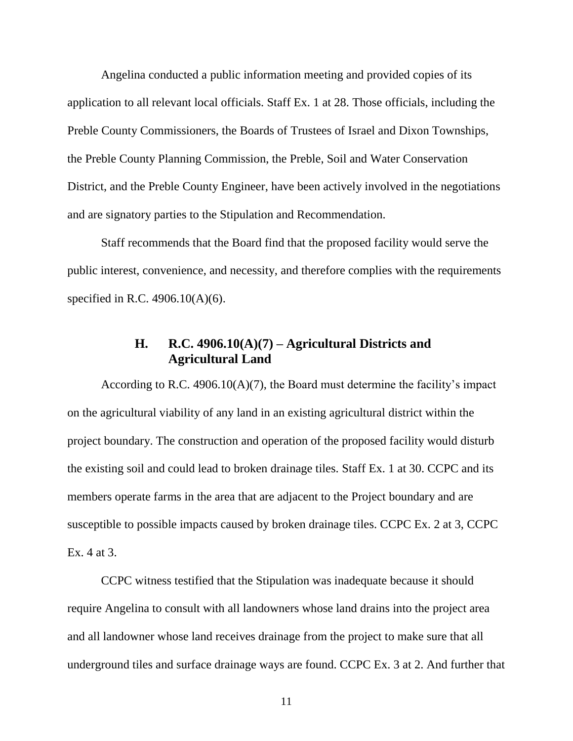Angelina conducted a public information meeting and provided copies of its application to all relevant local officials. Staff Ex. 1 at 28. Those officials, including the Preble County Commissioners, the Boards of Trustees of Israel and Dixon Townships, the Preble County Planning Commission, the Preble, Soil and Water Conservation District, and the Preble County Engineer, have been actively involved in the negotiations and are signatory parties to the Stipulation and Recommendation.

Staff recommends that the Board find that the proposed facility would serve the public interest, convenience, and necessity, and therefore complies with the requirements specified in R.C. 4906.10(A)(6).

## **H. R.C. 4906.10(A)(7) – Agricultural Districts and Agricultural Land**

<span id="page-12-0"></span>According to R.C. 4906.10(A)(7), the Board must determine the facility's impact on the agricultural viability of any land in an existing agricultural district within the project boundary. The construction and operation of the proposed facility would disturb the existing soil and could lead to broken drainage tiles. Staff Ex. 1 at 30. CCPC and its members operate farms in the area that are adjacent to the Project boundary and are susceptible to possible impacts caused by broken drainage tiles. CCPC Ex. 2 at 3, CCPC Ex. 4 at 3.

CCPC witness testified that the Stipulation was inadequate because it should require Angelina to consult with all landowners whose land drains into the project area and all landowner whose land receives drainage from the project to make sure that all underground tiles and surface drainage ways are found. CCPC Ex. 3 at 2. And further that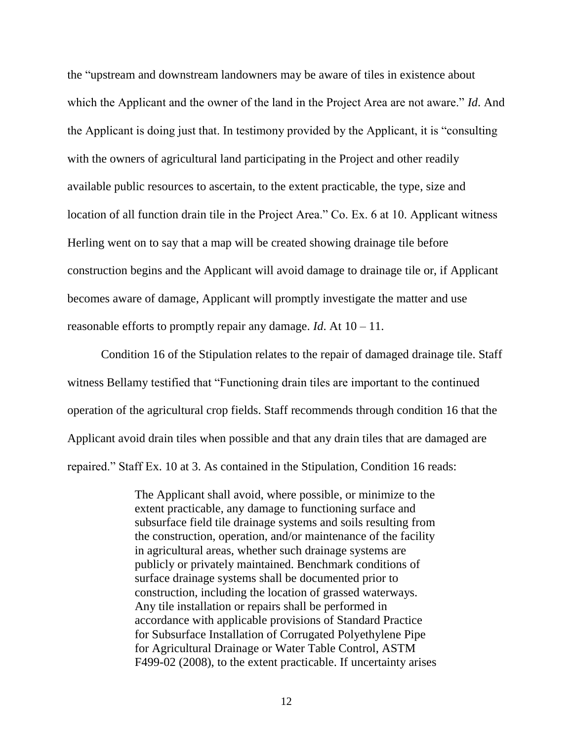the "upstream and downstream landowners may be aware of tiles in existence about which the Applicant and the owner of the land in the Project Area are not aware." *Id*. And the Applicant is doing just that. In testimony provided by the Applicant, it is "consulting with the owners of agricultural land participating in the Project and other readily available public resources to ascertain, to the extent practicable, the type, size and location of all function drain tile in the Project Area." Co. Ex. 6 at 10. Applicant witness Herling went on to say that a map will be created showing drainage tile before construction begins and the Applicant will avoid damage to drainage tile or, if Applicant becomes aware of damage, Applicant will promptly investigate the matter and use reasonable efforts to promptly repair any damage. *Id*. At 10 – 11.

Condition 16 of the Stipulation relates to the repair of damaged drainage tile. Staff witness Bellamy testified that "Functioning drain tiles are important to the continued operation of the agricultural crop fields. Staff recommends through condition 16 that the Applicant avoid drain tiles when possible and that any drain tiles that are damaged are repaired." Staff Ex. 10 at 3. As contained in the Stipulation, Condition 16 reads:

> The Applicant shall avoid, where possible, or minimize to the extent practicable, any damage to functioning surface and subsurface field tile drainage systems and soils resulting from the construction, operation, and/or maintenance of the facility in agricultural areas, whether such drainage systems are publicly or privately maintained. Benchmark conditions of surface drainage systems shall be documented prior to construction, including the location of grassed waterways. Any tile installation or repairs shall be performed in accordance with applicable provisions of Standard Practice for Subsurface Installation of Corrugated Polyethylene Pipe for Agricultural Drainage or Water Table Control, ASTM F499-02 (2008), to the extent practicable. If uncertainty arises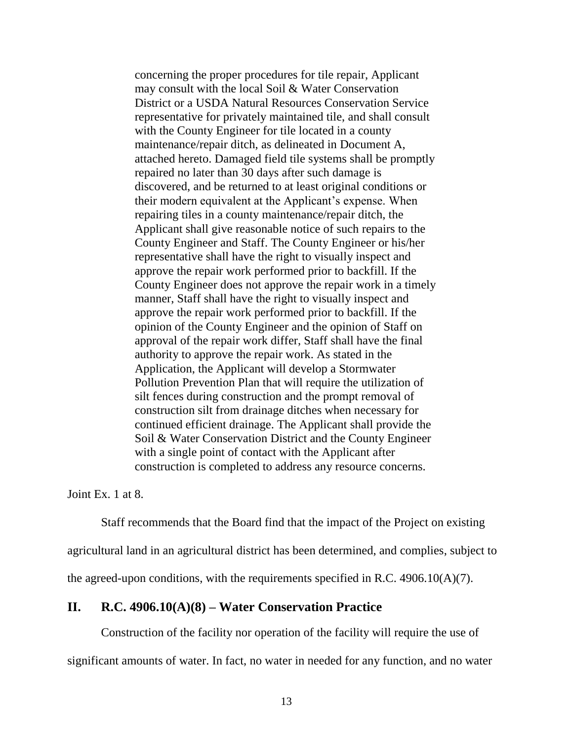concerning the proper procedures for tile repair, Applicant may consult with the local Soil & Water Conservation District or a USDA Natural Resources Conservation Service representative for privately maintained tile, and shall consult with the County Engineer for tile located in a county maintenance/repair ditch, as delineated in Document A, attached hereto. Damaged field tile systems shall be promptly repaired no later than 30 days after such damage is discovered, and be returned to at least original conditions or their modern equivalent at the Applicant's expense. When repairing tiles in a county maintenance/repair ditch, the Applicant shall give reasonable notice of such repairs to the County Engineer and Staff. The County Engineer or his/her representative shall have the right to visually inspect and approve the repair work performed prior to backfill. If the County Engineer does not approve the repair work in a timely manner, Staff shall have the right to visually inspect and approve the repair work performed prior to backfill. If the opinion of the County Engineer and the opinion of Staff on approval of the repair work differ, Staff shall have the final authority to approve the repair work. As stated in the Application, the Applicant will develop a Stormwater Pollution Prevention Plan that will require the utilization of silt fences during construction and the prompt removal of construction silt from drainage ditches when necessary for continued efficient drainage. The Applicant shall provide the Soil & Water Conservation District and the County Engineer with a single point of contact with the Applicant after construction is completed to address any resource concerns.

Joint Ex. 1 at 8.

Staff recommends that the Board find that the impact of the Project on existing agricultural land in an agricultural district has been determined, and complies, subject to the agreed-upon conditions, with the requirements specified in R.C.  $4906.10(A)(7)$ .

#### <span id="page-14-0"></span>**II. R.C. 4906.10(A)(8) – Water Conservation Practice**

Construction of the facility nor operation of the facility will require the use of significant amounts of water. In fact, no water in needed for any function, and no water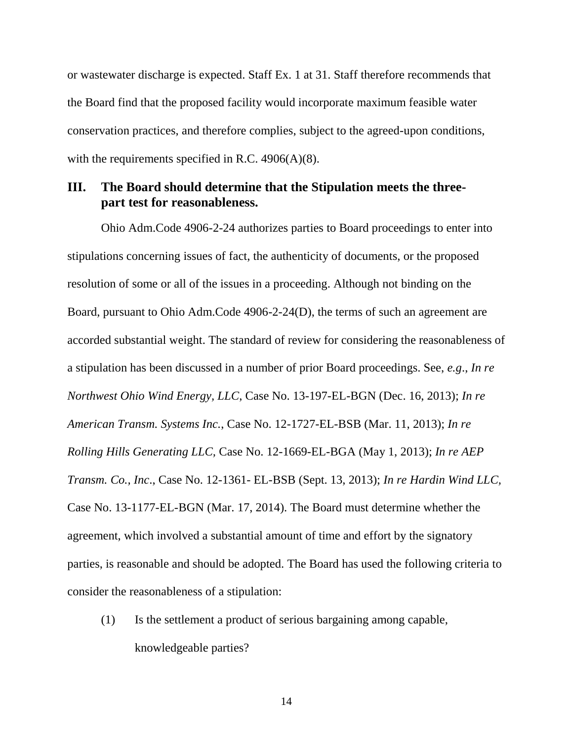or wastewater discharge is expected. Staff Ex. 1 at 31. Staff therefore recommends that the Board find that the proposed facility would incorporate maximum feasible water conservation practices, and therefore complies, subject to the agreed-upon conditions, with the requirements specified in R.C.  $4906(A)(8)$ .

### <span id="page-15-0"></span>**III. The Board should determine that the Stipulation meets the threepart test for reasonableness.**

Ohio Adm.Code 4906-2-24 authorizes parties to Board proceedings to enter into stipulations concerning issues of fact, the authenticity of documents, or the proposed resolution of some or all of the issues in a proceeding. Although not binding on the Board, pursuant to Ohio Adm.Code 4906-2-24(D), the terms of such an agreement are accorded substantial weight. The standard of review for considering the reasonableness of a stipulation has been discussed in a number of prior Board proceedings. See, *e.g*., *In re Northwest Ohio Wind Energy, LLC*, Case No. 13-197-EL-BGN (Dec. 16, 2013); *In re American Transm. Systems Inc.*, Case No. 12-1727-EL-BSB (Mar. 11, 2013); *In re Rolling Hills Generating LLC,* Case No. 12-1669-EL-BGA (May 1, 2013); *In re AEP Transm. Co., Inc*., Case No. 12-1361- EL-BSB (Sept. 13, 2013); *In re Hardin Wind LLC,* Case No. 13-1177-EL-BGN (Mar. 17, 2014). The Board must determine whether the agreement, which involved a substantial amount of time and effort by the signatory parties, is reasonable and should be adopted. The Board has used the following criteria to consider the reasonableness of a stipulation:

(1) Is the settlement a product of serious bargaining among capable, knowledgeable parties?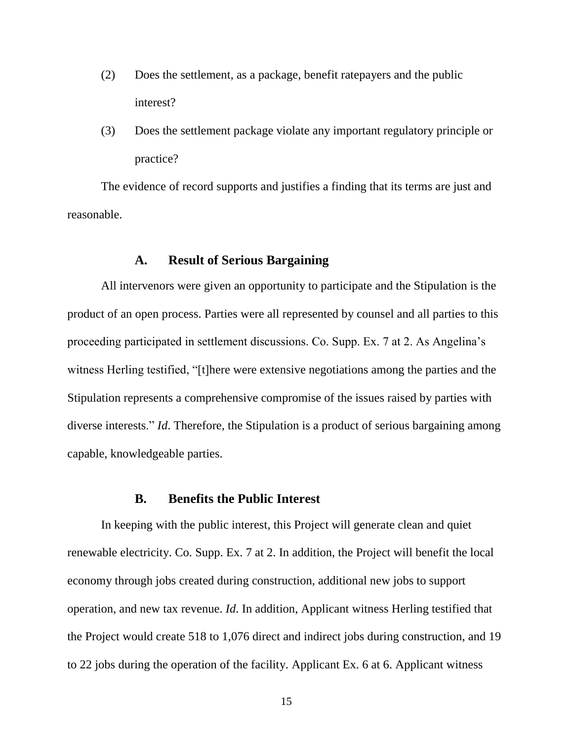- (2) Does the settlement, as a package, benefit ratepayers and the public interest?
- (3) Does the settlement package violate any important regulatory principle or practice?

The evidence of record supports and justifies a finding that its terms are just and reasonable.

### **A. Result of Serious Bargaining**

<span id="page-16-0"></span>All intervenors were given an opportunity to participate and the Stipulation is the product of an open process. Parties were all represented by counsel and all parties to this proceeding participated in settlement discussions. Co. Supp. Ex. 7 at 2. As Angelina's witness Herling testified, "[t]here were extensive negotiations among the parties and the Stipulation represents a comprehensive compromise of the issues raised by parties with diverse interests." *Id*. Therefore, the Stipulation is a product of serious bargaining among capable, knowledgeable parties.

#### **B. Benefits the Public Interest**

<span id="page-16-1"></span>In keeping with the public interest, this Project will generate clean and quiet renewable electricity. Co. Supp. Ex. 7 at 2. In addition, the Project will benefit the local economy through jobs created during construction, additional new jobs to support operation, and new tax revenue. *Id*. In addition, Applicant witness Herling testified that the Project would create 518 to 1,076 direct and indirect jobs during construction, and 19 to 22 jobs during the operation of the facility. Applicant Ex. 6 at 6. Applicant witness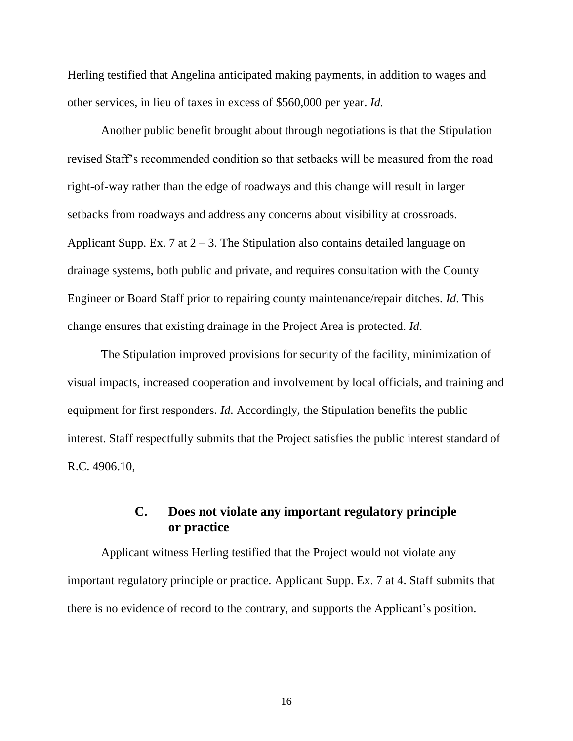Herling testified that Angelina anticipated making payments, in addition to wages and other services, in lieu of taxes in excess of \$560,000 per year. *Id.*

Another public benefit brought about through negotiations is that the Stipulation revised Staff's recommended condition so that setbacks will be measured from the road right-of-way rather than the edge of roadways and this change will result in larger setbacks from roadways and address any concerns about visibility at crossroads. Applicant Supp. Ex. 7 at  $2 - 3$ . The Stipulation also contains detailed language on drainage systems, both public and private, and requires consultation with the County Engineer or Board Staff prior to repairing county maintenance/repair ditches. *Id*. This change ensures that existing drainage in the Project Area is protected. *Id*.

The Stipulation improved provisions for security of the facility, minimization of visual impacts, increased cooperation and involvement by local officials, and training and equipment for first responders. *Id*. Accordingly, the Stipulation benefits the public interest. Staff respectfully submits that the Project satisfies the public interest standard of R.C. 4906.10,

# **C. Does not violate any important regulatory principle or practice**

<span id="page-17-0"></span>Applicant witness Herling testified that the Project would not violate any important regulatory principle or practice. Applicant Supp. Ex. 7 at 4. Staff submits that there is no evidence of record to the contrary, and supports the Applicant's position.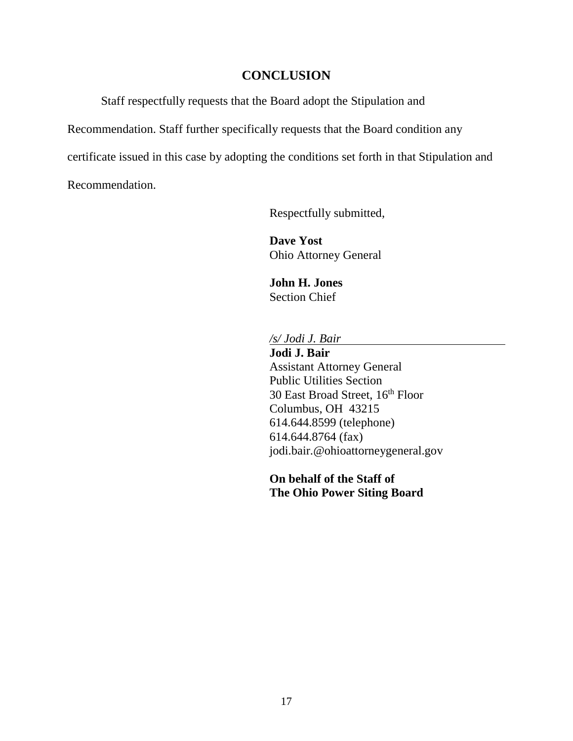### **CONCLUSION**

<span id="page-18-0"></span>Staff respectfully requests that the Board adopt the Stipulation and

Recommendation. Staff further specifically requests that the Board condition any

certificate issued in this case by adopting the conditions set forth in that Stipulation and

Recommendation.

Respectfully submitted,

**Dave Yost** Ohio Attorney General

**John H. Jones** Section Chief

*/s/ Jodi J. Bair*

**Jodi J. Bair** Assistant Attorney General Public Utilities Section 30 East Broad Street, 16 th Floor Columbus, OH 43215 614.644.8599 (telephone) 614.644.8764 (fax) [jodi.bair.@ohioattorneygeneral.gov](mailto:jodi.bair.@ohioattorneygeneral.gov)

**On behalf of the Staff of The Ohio Power Siting Board**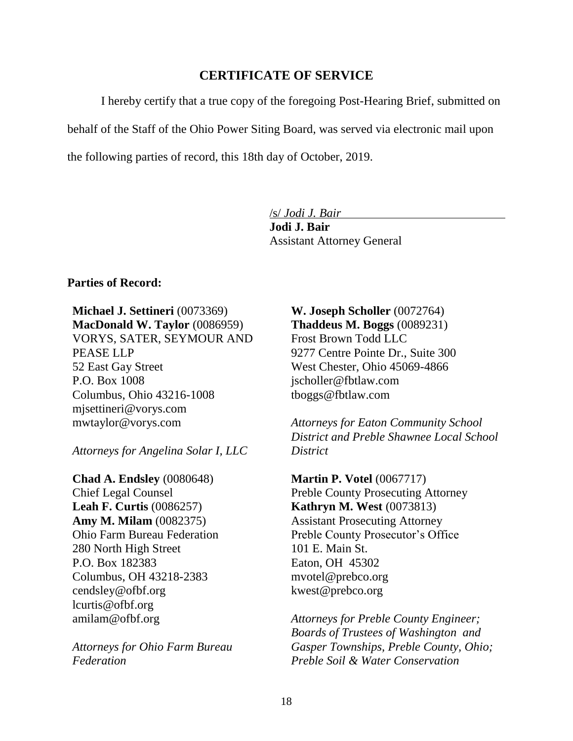### **CERTIFICATE OF SERVICE**

<span id="page-19-0"></span>I hereby certify that a true copy of the foregoing Post-Hearing Brief, submitted on behalf of the Staff of the Ohio Power Siting Board, was served via electronic mail upon the following parties of record, this 18th day of October, 2019.

/s/ *Jodi J. Bair*

**Jodi J. Bair** Assistant Attorney General

#### **Parties of Record:**

**Michael J. Settineri** (0073369) **MacDonald W. Taylor** (0086959) VORYS, SATER, SEYMOUR AND PEASE LLP 52 East Gay Street P.O. Box 1008 Columbus, Ohio 43216-1008 [mjsettineri@vorys.com](mailto:mjsettineri@vorys.com) [mwtaylor@vorys.com](mailto:mwtaylor@vorys.com)

*Attorneys for Angelina Solar I, LLC*

**Chad A. Endsley** (0080648) Chief Legal Counsel **Leah F. Curtis** (0086257) **Amy M. Milam** (0082375) Ohio Farm Bureau Federation 280 North High Street P.O. Box 182383 Columbus, OH 43218-2383 [cendsley@ofbf.org](mailto:cendsley@ofbf.org) [lcurtis@ofbf.org](mailto:lcurtis@ofbf.org) [amilam@ofbf.org](mailto:amilam@ofbf.org)

*Attorneys for Ohio Farm Bureau Federation*

**W. Joseph Scholler** (0072764) **Thaddeus M. Boggs** (0089231) Frost Brown Todd LLC 9277 Centre Pointe Dr., Suite 300 West Chester, Ohio 45069-4866 [jscholler@fbtlaw.com](mailto:jscholler@fbtlaw.com) [tboggs@fbtlaw.com](mailto:tboggs@fbtlaw.com)

*Attorneys for Eaton Community School District and Preble Shawnee Local School District*

**Martin P. Votel** (0067717) Preble County Prosecuting Attorney **Kathryn M. West** (0073813) Assistant Prosecuting Attorney Preble County Prosecutor's Office 101 E. Main St. Eaton, OH 45302 mvotel@prebco.org [kwest@prebco.org](mailto:kwest@prebco.org)

*Attorneys for Preble County Engineer; Boards of Trustees of Washington and Gasper Townships, Preble County, Ohio; Preble Soil & Water Conservation*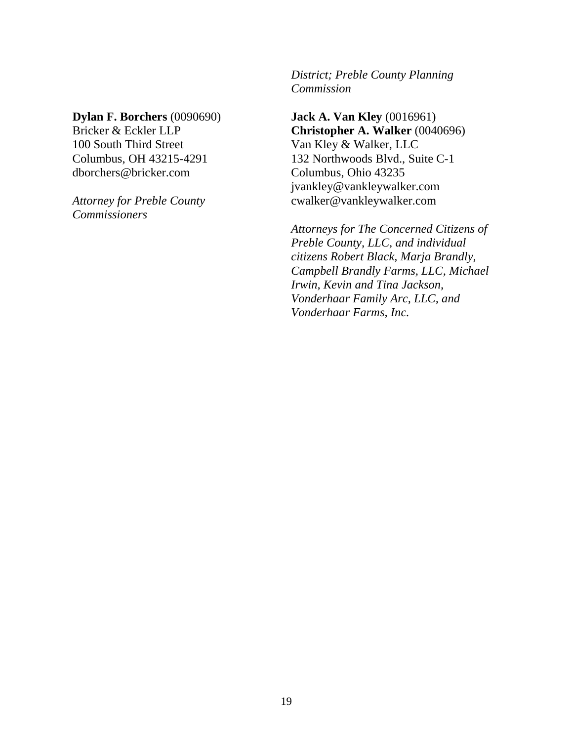### **Dylan F. Borchers** (0090690)

Bricker & Eckler LLP 100 South Third Street Columbus, OH 43215-4291 [dborchers@bricker.com](mailto:dborchers@bricker.com)

*Attorney for Preble County Commissioners*

*District; Preble County Planning Commission*

**Jack A. Van Kley** (0016961) **Christopher A. Walker** (0040696) Van Kley & Walker, LLC 132 Northwoods Blvd., Suite C-1 Columbus, Ohio 43235 jvankley@vankleywalker.com cwalker@vankleywalker.com

*Attorneys for The Concerned Citizens of Preble County, LLC, and individual citizens Robert Black, Marja Brandly, Campbell Brandly Farms, LLC, Michael Irwin, Kevin and Tina Jackson, Vonderhaar Family Arc, LLC, and Vonderhaar Farms, Inc.*